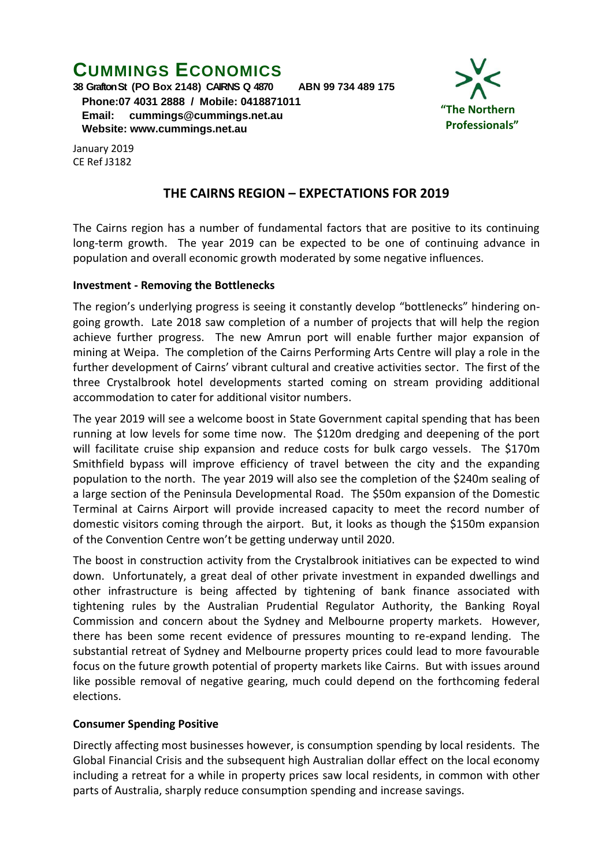# **CUMMINGS ECONOMICS**

**38 Grafton St (PO Box 2148) CAIRNS Q 4870 ABN 99 734 489 175**

 **Phone:07 4031 2888 / Mobile: 0418871011 Email: [cummings@cummings.net.au](mailto:cummings@cummings.net.au) Website: www.cummings.net.au**



January 2019 CE Ref J3182

## **THE CAIRNS REGION – EXPECTATIONS FOR 2019**

The Cairns region has a number of fundamental factors that are positive to its continuing long-term growth. The year 2019 can be expected to be one of continuing advance in population and overall economic growth moderated by some negative influences.

#### **Investment - Removing the Bottlenecks**

The region's underlying progress is seeing it constantly develop "bottlenecks" hindering ongoing growth. Late 2018 saw completion of a number of projects that will help the region achieve further progress. The new Amrun port will enable further major expansion of mining at Weipa. The completion of the Cairns Performing Arts Centre will play a role in the further development of Cairns' vibrant cultural and creative activities sector. The first of the three Crystalbrook hotel developments started coming on stream providing additional accommodation to cater for additional visitor numbers.

The year 2019 will see a welcome boost in State Government capital spending that has been running at low levels for some time now. The \$120m dredging and deepening of the port will facilitate cruise ship expansion and reduce costs for bulk cargo vessels. The \$170m Smithfield bypass will improve efficiency of travel between the city and the expanding population to the north. The year 2019 will also see the completion of the \$240m sealing of a large section of the Peninsula Developmental Road. The \$50m expansion of the Domestic Terminal at Cairns Airport will provide increased capacity to meet the record number of domestic visitors coming through the airport. But, it looks as though the \$150m expansion of the Convention Centre won't be getting underway until 2020.

The boost in construction activity from the Crystalbrook initiatives can be expected to wind down. Unfortunately, a great deal of other private investment in expanded dwellings and other infrastructure is being affected by tightening of bank finance associated with tightening rules by the Australian Prudential Regulator Authority, the Banking Royal Commission and concern about the Sydney and Melbourne property markets. However, there has been some recent evidence of pressures mounting to re-expand lending. The substantial retreat of Sydney and Melbourne property prices could lead to more favourable focus on the future growth potential of property markets like Cairns. But with issues around like possible removal of negative gearing, much could depend on the forthcoming federal elections.

#### **Consumer Spending Positive**

Directly affecting most businesses however, is consumption spending by local residents. The Global Financial Crisis and the subsequent high Australian dollar effect on the local economy including a retreat for a while in property prices saw local residents, in common with other parts of Australia, sharply reduce consumption spending and increase savings.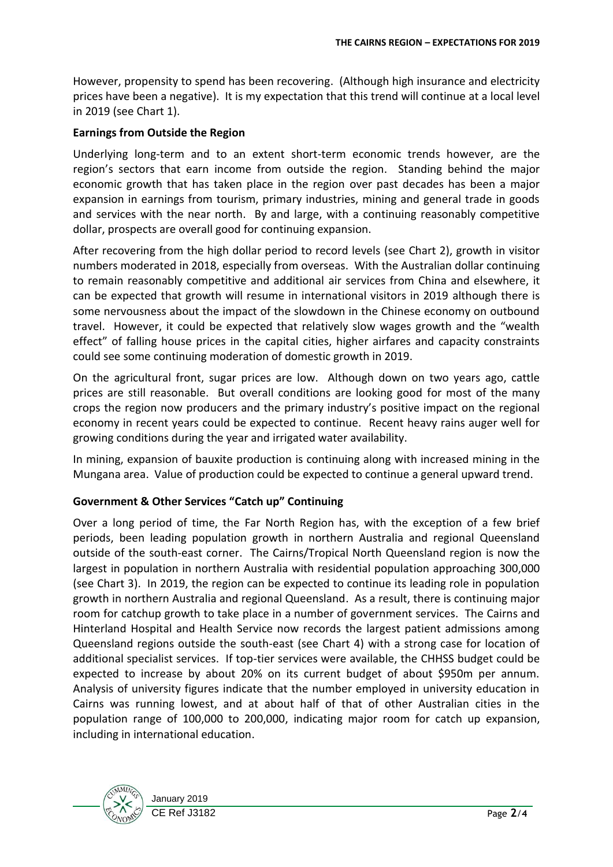However, propensity to spend has been recovering. (Although high insurance and electricity prices have been a negative). It is my expectation that this trend will continue at a local level in 2019 (see Chart 1).

### **Earnings from Outside the Region**

Underlying long-term and to an extent short-term economic trends however, are the region's sectors that earn income from outside the region. Standing behind the major economic growth that has taken place in the region over past decades has been a major expansion in earnings from tourism, primary industries, mining and general trade in goods and services with the near north. By and large, with a continuing reasonably competitive dollar, prospects are overall good for continuing expansion.

After recovering from the high dollar period to record levels (see Chart 2), growth in visitor numbers moderated in 2018, especially from overseas. With the Australian dollar continuing to remain reasonably competitive and additional air services from China and elsewhere, it can be expected that growth will resume in international visitors in 2019 although there is some nervousness about the impact of the slowdown in the Chinese economy on outbound travel. However, it could be expected that relatively slow wages growth and the "wealth effect" of falling house prices in the capital cities, higher airfares and capacity constraints could see some continuing moderation of domestic growth in 2019.

On the agricultural front, sugar prices are low. Although down on two years ago, cattle prices are still reasonable. But overall conditions are looking good for most of the many crops the region now producers and the primary industry's positive impact on the regional economy in recent years could be expected to continue. Recent heavy rains auger well for growing conditions during the year and irrigated water availability.

In mining, expansion of bauxite production is continuing along with increased mining in the Mungana area. Value of production could be expected to continue a general upward trend.

# **Government & Other Services "Catch up" Continuing**

Over a long period of time, the Far North Region has, with the exception of a few brief periods, been leading population growth in northern Australia and regional Queensland outside of the south-east corner. The Cairns/Tropical North Queensland region is now the largest in population in northern Australia with residential population approaching 300,000 (see Chart 3). In 2019, the region can be expected to continue its leading role in population growth in northern Australia and regional Queensland. As a result, there is continuing major room for catchup growth to take place in a number of government services. The Cairns and Hinterland Hospital and Health Service now records the largest patient admissions among Queensland regions outside the south-east (see Chart 4) with a strong case for location of additional specialist services. If top-tier services were available, the CHHSS budget could be expected to increase by about 20% on its current budget of about \$950m per annum. Analysis of university figures indicate that the number employed in university education in Cairns was running lowest, and at about half of that of other Australian cities in the population range of 100,000 to 200,000, indicating major room for catch up expansion, including in international education.

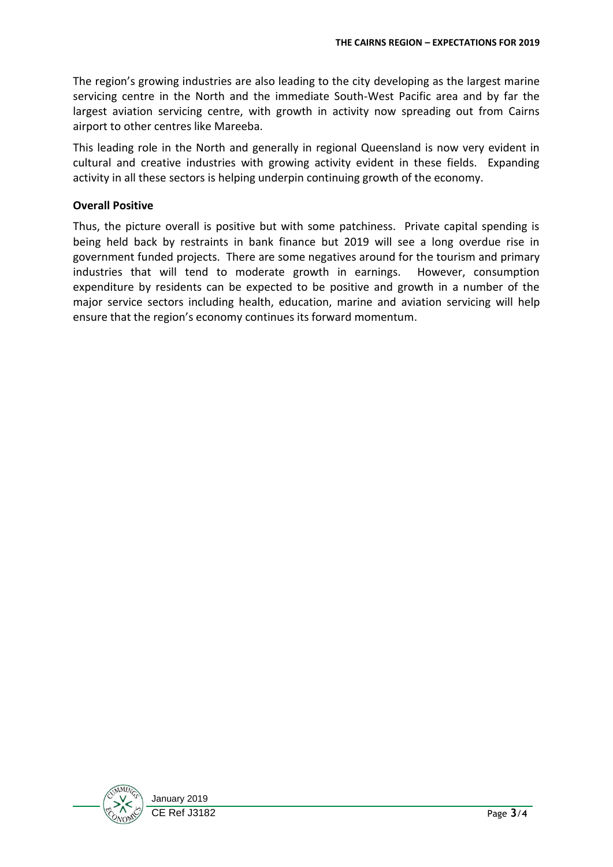The region's growing industries are also leading to the city developing as the largest marine servicing centre in the North and the immediate South-West Pacific area and by far the largest aviation servicing centre, with growth in activity now spreading out from Cairns airport to other centres like Mareeba.

This leading role in the North and generally in regional Queensland is now very evident in cultural and creative industries with growing activity evident in these fields. Expanding activity in all these sectors is helping underpin continuing growth of the economy.

## **Overall Positive**

Thus, the picture overall is positive but with some patchiness. Private capital spending is being held back by restraints in bank finance but 2019 will see a long overdue rise in government funded projects. There are some negatives around for the tourism and primary industries that will tend to moderate growth in earnings. However, consumption expenditure by residents can be expected to be positive and growth in a number of the major service sectors including health, education, marine and aviation servicing will help ensure that the region's economy continues its forward momentum.